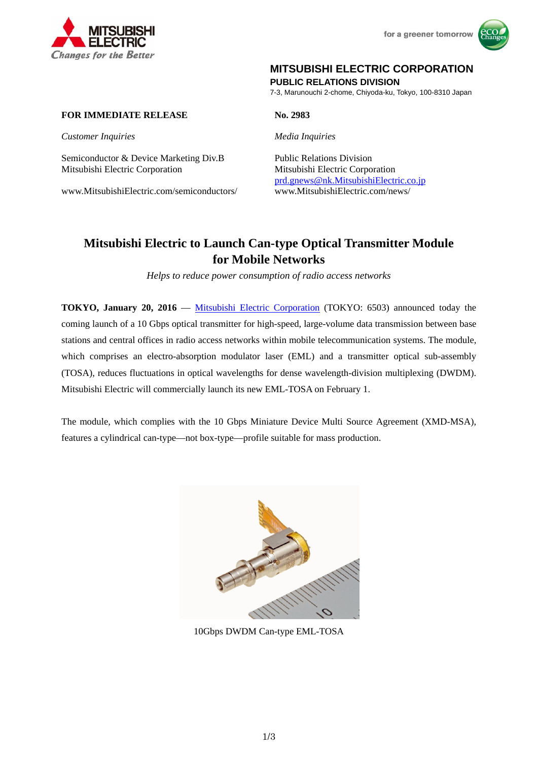



# **MITSUBISHI ELECTRIC CORPORATION**

**PUBLIC RELATIONS DIVISION** 

7-3, Marunouchi 2-chome, Chiyoda-ku, Tokyo, 100-8310 Japan

# **FOR IMMEDIATE RELEASE No. 2983**

*Customer Inquiries Media Inquiries* 

Semiconductor & Device Marketing Div.B Public Relations Division Mitsubishi Electric Corporation Mitsubishi Electric Corporation

www.MitsubishiElectric.com/semiconductors/ www.MitsubishiElectric.com/news/

prd.gnews@nk.MitsubishiElectric.co.jp

# **Mitsubishi Electric to Launch Can-type Optical Transmitter Module for Mobile Networks**

*Helps to reduce power consumption of radio access networks* 

**TOKYO, January 20, 2016** — Mitsubishi Electric Corporation (TOKYO: 6503) announced today the coming launch of a 10 Gbps optical transmitter for high-speed, large-volume data transmission between base stations and central offices in radio access networks within mobile telecommunication systems. The module, which comprises an electro-absorption modulator laser (EML) and a transmitter optical sub-assembly (TOSA), reduces fluctuations in optical wavelengths for dense wavelength-division multiplexing (DWDM). Mitsubishi Electric will commercially launch its new EML-TOSA on February 1.

The module, which complies with the 10 Gbps Miniature Device Multi Source Agreement (XMD-MSA), features a cylindrical can-type—not box-type—profile suitable for mass production.



10Gbps DWDM Can-type EML-TOSA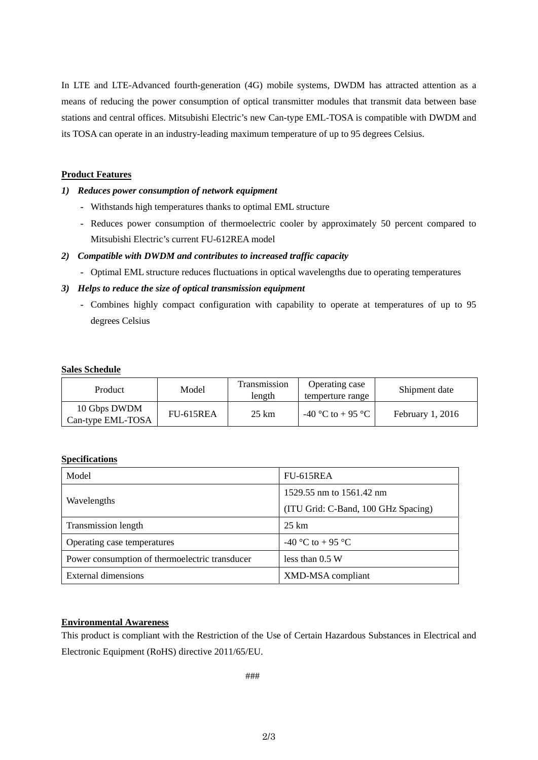In LTE and LTE-Advanced fourth-generation (4G) mobile systems, DWDM has attracted attention as a means of reducing the power consumption of optical transmitter modules that transmit data between base stations and central offices. Mitsubishi Electric's new Can-type EML-TOSA is compatible with DWDM and its TOSA can operate in an industry-leading maximum temperature of up to 95 degrees Celsius.

### **Product Features**

#### *1) Reduces power consumption of network equipment*

- **-** Withstands high temperatures thanks to optimal EML structure
- **-** Reduces power consumption of thermoelectric cooler by approximately 50 percent compared to Mitsubishi Electric's current FU-612REA model

#### *2) Compatible with DWDM and contributes to increased traffic capacity*

**-** Optimal EML structure reduces fluctuations in optical wavelengths due to operating temperatures

#### *3) Helps to reduce the size of optical transmission equipment*

**-** Combines highly compact configuration with capability to operate at temperatures of up to 95 degrees Celsius

#### **Sales Schedule**

| Product                           | Model     | <b>Transmission</b><br>length | Operating case<br>temperture range | Shipment date    |
|-----------------------------------|-----------|-------------------------------|------------------------------------|------------------|
| 10 Gbps DWDM<br>Can-type EML-TOSA | FU-615REA | $25 \text{ km}$               | -40 °C to + 95 °C                  | February 1, 2016 |

#### **Specifications**

| Model                                          | FU-615REA                           |  |
|------------------------------------------------|-------------------------------------|--|
|                                                | 1529.55 nm to 1561.42 nm            |  |
| Wavelengths                                    | (ITU Grid: C-Band, 100 GHz Spacing) |  |
| Transmission length                            | 25 km                               |  |
| Operating case temperatures                    | $-40$ °C to +95 °C                  |  |
| Power consumption of thermoelectric transducer | less than $0.5 W$                   |  |
| External dimensions                            | XMD-MSA compliant                   |  |

# **Environmental Awareness**

This product is compliant with the Restriction of the Use of Certain Hazardous Substances in Electrical and Electronic Equipment (RoHS) directive 2011/65/EU.